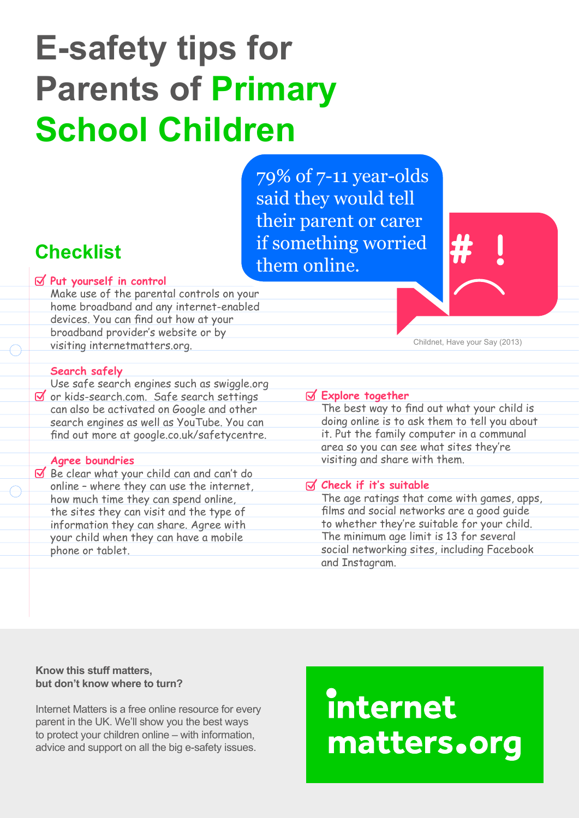# **E-safety tips for Parents of Primary School Children**

79% of 7-11 year-olds said they would tell their parent or carer if something worried them online.

### **Checklist**

**Put yourself in control** Make use of the parental controls on your home broadband and any internet-enabled devices. You can find out how at your broadband provider's website or by visiting internetmatters.org.

#### Childnet, Have your Say (2013)

#### **Search safely**

Use safe search engines such as swiggle.org  $\delta$  or kids-search.com. Safe search settings can also be activated on Google and other search engines as well as YouTube. You can find out more at google.co.uk/safetycentre.

#### **Agree boundries**

 $\leq$  Be clear what your child can and can't do online – where they can use the internet, how much time they can spend online, the sites they can visit and the type of information they can share. Agree with your child when they can have a mobile phone or tablet.

#### **Explore together**

The best way to find out what your child is doing online is to ask them to tell you about it. Put the family computer in a communal area so you can see what sites they're visiting and share with them.

#### **Check if it's suitable**

The age ratings that come with games, apps, films and social networks are a good guide to whether they're suitable for your child. The minimum age limit is 13 for several social networking sites, including Facebook and Instagram.

#### **Know this stuff matters, but don't know where to turn?**

Internet Matters is a free online resource for every parent in the UK. We'll show you the best ways to protect your children online – with information, advice and support on all the big e-safety issues.

## internet matters.org